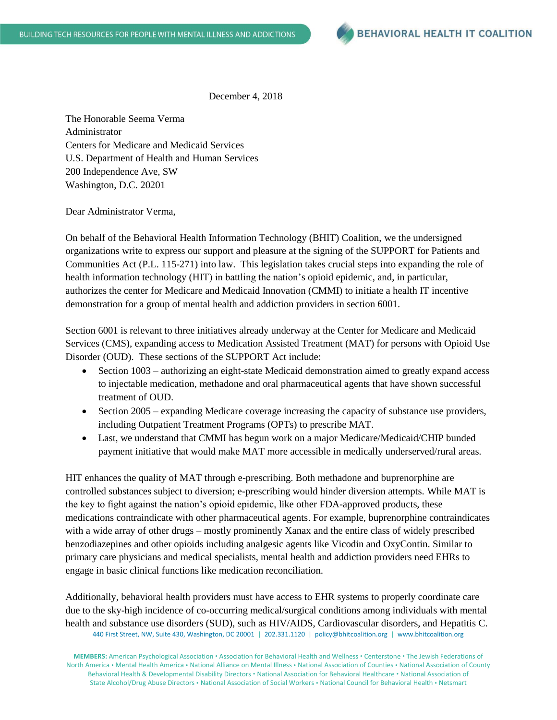

December 4, 2018

The Honorable Seema Verma Administrator Centers for Medicare and Medicaid Services U.S. Department of Health and Human Services 200 Independence Ave, SW Washington, D.C. 20201

Dear Administrator Verma,

On behalf of the Behavioral Health Information Technology (BHIT) Coalition, we the undersigned organizations write to express our support and pleasure at the signing of the SUPPORT for Patients and Communities Act (P.L. 115-271) into law. This legislation takes crucial steps into expanding the role of health information technology (HIT) in battling the nation's opioid epidemic, and, in particular, authorizes the center for Medicare and Medicaid Innovation (CMMI) to initiate a health IT incentive demonstration for a group of mental health and addiction providers in section 6001.

Section 6001 is relevant to three initiatives already underway at the Center for Medicare and Medicaid Services (CMS), expanding access to Medication Assisted Treatment (MAT) for persons with Opioid Use Disorder (OUD). These sections of the SUPPORT Act include:

- Section 1003 authorizing an eight-state Medicaid demonstration aimed to greatly expand access to injectable medication, methadone and oral pharmaceutical agents that have shown successful treatment of OUD.
- Section 2005 expanding Medicare coverage increasing the capacity of substance use providers, including Outpatient Treatment Programs (OPTs) to prescribe MAT.
- Last, we understand that CMMI has begun work on a major Medicare/Medicaid/CHIP bunded payment initiative that would make MAT more accessible in medically underserved/rural areas.

HIT enhances the quality of MAT through e-prescribing. Both methadone and buprenorphine are controlled substances subject to diversion; e-prescribing would hinder diversion attempts. While MAT is the key to fight against the nation's opioid epidemic, like other FDA-approved products, these medications contraindicate with other pharmaceutical agents. For example, buprenorphine contraindicates with a wide array of other drugs – mostly prominently Xanax and the entire class of widely prescribed benzodiazepines and other opioids including analgesic agents like Vicodin and OxyContin. Similar to primary care physicians and medical specialists, mental health and addiction providers need EHRs to engage in basic clinical functions like medication reconciliation.

440 First Street, NW, Suite 430, Washington, DC 20001 | 202.331.1120 | policy@bhitcoalition.org | www.bhitcoalition.org Additionally, behavioral health providers must have access to EHR systems to properly coordinate care due to the sky-high incidence of co-occurring medical/surgical conditions among individuals with mental health and substance use disorders (SUD), such as HIV/AIDS, Cardiovascular disorders, and Hepatitis C.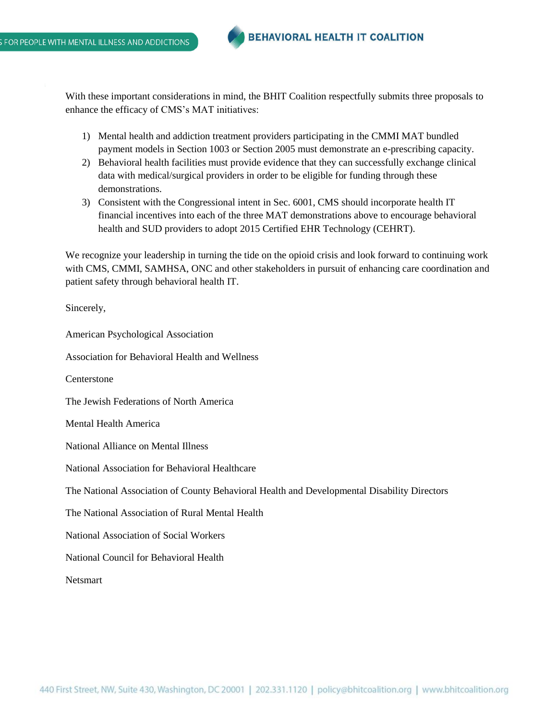With these important considerations in mind, the BHIT Coalition respectfully submits three proposals to enhance the efficacy of CMS's MAT initiatives:

- 1) Mental health and addiction treatment providers participating in the CMMI MAT bundled payment models in Section 1003 or Section 2005 must demonstrate an e-prescribing capacity.
- 2) Behavioral health facilities must provide evidence that they can successfully exchange clinical data with medical/surgical providers in order to be eligible for funding through these demonstrations.
- 3) Consistent with the Congressional intent in Sec. 6001, CMS should incorporate health IT financial incentives into each of the three MAT demonstrations above to encourage behavioral health and SUD providers to adopt 2015 Certified EHR Technology (CEHRT).

We recognize your leadership in turning the tide on the opioid crisis and look forward to continuing work with CMS, CMMI, SAMHSA, ONC and other stakeholders in pursuit of enhancing care coordination and patient safety through behavioral health IT.

Sincerely,

American Psychological Association Association for Behavioral Health and Wellness **Centerstone** The Jewish Federations of North America Mental Health America National Alliance on Mental Illness National Association for Behavioral Healthcare The National Association of County Behavioral Health and Developmental Disability Directors The National Association of Rural Mental Health National Association of Social Workers National Council for Behavioral Health Netsmart